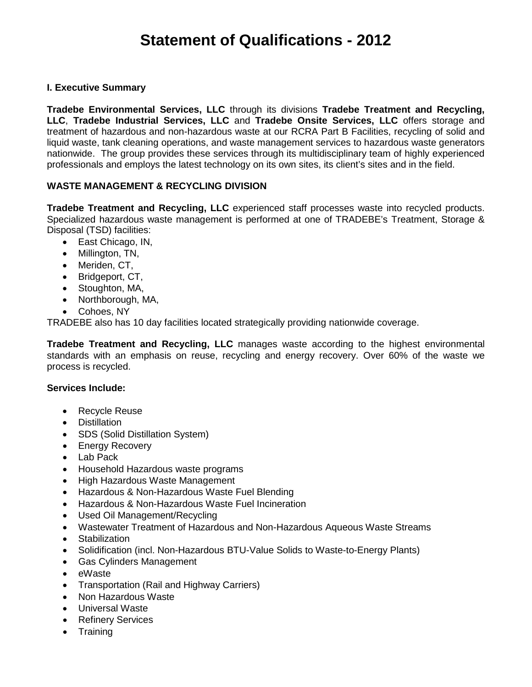## **I. Executive Summary**

**Tradebe Environmental Services, LLC** through its divisions **Tradebe Treatment and Recycling, LLC**, **Tradebe Industrial Services, LLC** and **Tradebe Onsite Services, LLC** offers storage and treatment of hazardous and non-hazardous waste at our RCRA Part B Facilities, recycling of solid and liquid waste, tank cleaning operations, and waste management services to hazardous waste generators nationwide. The group provides these services through its multidisciplinary team of highly experienced professionals and employs the latest technology on its own sites, its client's sites and in the field.

# **WASTE MANAGEMENT & RECYCLING DIVISION**

**Tradebe Treatment and Recycling, LLC** experienced staff processes waste into recycled products. Specialized hazardous waste management is performed at one of TRADEBE's Treatment, Storage & Disposal (TSD) facilities:

- East Chicago, IN,
- Millington, TN,
- Meriden, CT,
- Bridgeport, CT,
- Stoughton, MA,
- Northborough, MA,
- Cohoes, NY

TRADEBE also has 10 day facilities located strategically providing nationwide coverage.

**Tradebe Treatment and Recycling, LLC** manages waste according to the highest environmental standards with an emphasis on reuse, recycling and energy recovery. Over 60% of the waste we process is recycled.

## **Services Include:**

- Recycle Reuse
- Distillation
- SDS (Solid Distillation System)
- Energy Recovery
- Lab Pack
- Household Hazardous waste programs
- High Hazardous Waste Management
- Hazardous & Non-Hazardous Waste Fuel Blending
- Hazardous & Non-Hazardous Waste Fuel Incineration
- Used Oil Management/Recycling
- Wastewater Treatment of Hazardous and Non-Hazardous Aqueous Waste Streams
- **Stabilization**
- Solidification (incl. Non-Hazardous BTU-Value Solids to Waste-to-Energy Plants)
- Gas Cylinders Management
- eWaste
- Transportation (Rail and Highway Carriers)
- Non Hazardous Waste
- Universal Waste
- Refinery Services
- Training